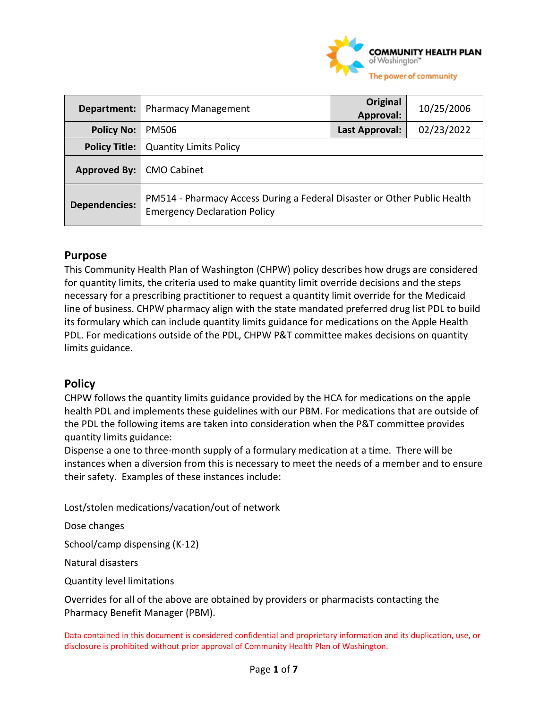

| Department:          | <b>Pharmacy Management</b>                                                                                      | Original<br>Approval: | 10/25/2006 |
|----------------------|-----------------------------------------------------------------------------------------------------------------|-----------------------|------------|
| <b>Policy No:</b>    | <b>PM506</b>                                                                                                    | Last Approval:        | 02/23/2022 |
| <b>Policy Title:</b> | <b>Quantity Limits Policy</b>                                                                                   |                       |            |
| Approved By:         | <b>CMO Cabinet</b>                                                                                              |                       |            |
| <b>Dependencies:</b> | PM514 - Pharmacy Access During a Federal Disaster or Other Public Health<br><b>Emergency Declaration Policy</b> |                       |            |

## **Purpose**

This Community Health Plan of Washington (CHPW) policy describes how drugs are considered for quantity limits, the criteria used to make quantity limit override decisions and the steps necessary for a prescribing practitioner to request a quantity limit override for the Medicaid line of business. CHPW pharmacy align with the state mandated preferred drug list PDL to build its formulary which can include quantity limits guidance for medications on the Apple Health PDL. For medications outside of the PDL, CHPW P&T committee makes decisions on quantity limits guidance.

## **Policy**

CHPW follows the quantity limits guidance provided by the HCA for medications on the apple health PDL and implements these guidelines with our PBM. For medications that are outside of the PDL the following items are taken into consideration when the P&T committee provides quantity limits guidance:

Dispense a one to three-month supply of a formulary medication at a time. There will be instances when a diversion from this is necessary to meet the needs of a member and to ensure their safety. Examples of these instances include:

Lost/stolen medications/vacation/out of network

Dose changes

School/camp dispensing (K-12)

Natural disasters

Quantity level limitations

Overrides for all of the above are obtained by providers or pharmacists contacting the Pharmacy Benefit Manager (PBM).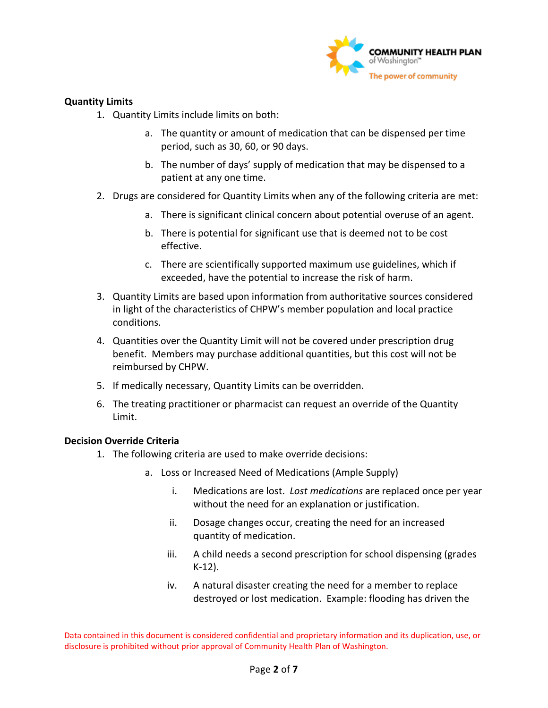

#### **Quantity Limits**

- 1. Quantity Limits include limits on both:
	- a. The quantity or amount of medication that can be dispensed per time period, such as 30, 60, or 90 days.
	- b. The number of days' supply of medication that may be dispensed to a patient at any one time.
- 2. Drugs are considered for Quantity Limits when any of the following criteria are met:
	- a. There is significant clinical concern about potential overuse of an agent.
	- b. There is potential for significant use that is deemed not to be cost effective.
	- c. There are scientifically supported maximum use guidelines, which if exceeded, have the potential to increase the risk of harm.
- 3. Quantity Limits are based upon information from authoritative sources considered in light of the characteristics of CHPW's member population and local practice conditions.
- 4. Quantities over the Quantity Limit will not be covered under prescription drug benefit. Members may purchase additional quantities, but this cost will not be reimbursed by CHPW.
- 5. If medically necessary, Quantity Limits can be overridden.
- 6. The treating practitioner or pharmacist can request an override of the Quantity Limit.

#### **Decision Override Criteria**

- 1. The following criteria are used to make override decisions:
	- a. Loss or Increased Need of Medications (Ample Supply)
		- i. Medications are lost. *Lost medications* are replaced once per year without the need for an explanation or justification.
		- ii. Dosage changes occur, creating the need for an increased quantity of medication.
		- iii. A child needs a second prescription for school dispensing (grades K-12).
		- iv. A natural disaster creating the need for a member to replace destroyed or lost medication. Example: flooding has driven the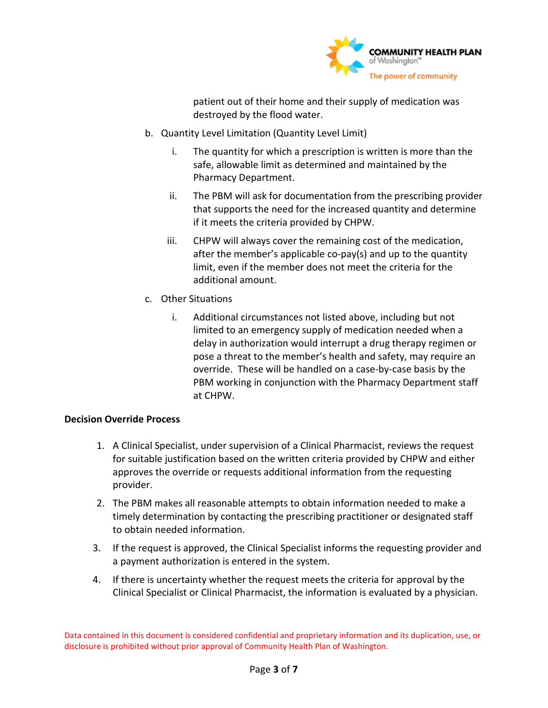

patient out of their home and their supply of medication was destroyed by the flood water.

- b. Quantity Level Limitation (Quantity Level Limit)
	- i. The quantity for which a prescription is written is more than the safe, allowable limit as determined and maintained by the Pharmacy Department.
	- ii. The PBM will ask for documentation from the prescribing provider that supports the need for the increased quantity and determine if it meets the criteria provided by CHPW.
	- iii. CHPW will always cover the remaining cost of the medication, after the member's applicable co-pay(s) and up to the quantity limit, even if the member does not meet the criteria for the additional amount.
- c. Other Situations
	- i. Additional circumstances not listed above, including but not limited to an emergency supply of medication needed when a delay in authorization would interrupt a drug therapy regimen or pose a threat to the member's health and safety, may require an override. These will be handled on a case-by-case basis by the PBM working in conjunction with the Pharmacy Department staff at CHPW.

#### **Decision Override Process**

- 1. A Clinical Specialist, under supervision of a Clinical Pharmacist, reviews the request for suitable justification based on the written criteria provided by CHPW and either approves the override or requests additional information from the requesting provider.
- 2. The PBM makes all reasonable attempts to obtain information needed to make a timely determination by contacting the prescribing practitioner or designated staff to obtain needed information.
- 3. If the request is approved, the Clinical Specialist informs the requesting provider and a payment authorization is entered in the system.
- 4. If there is uncertainty whether the request meets the criteria for approval by the Clinical Specialist or Clinical Pharmacist, the information is evaluated by a physician.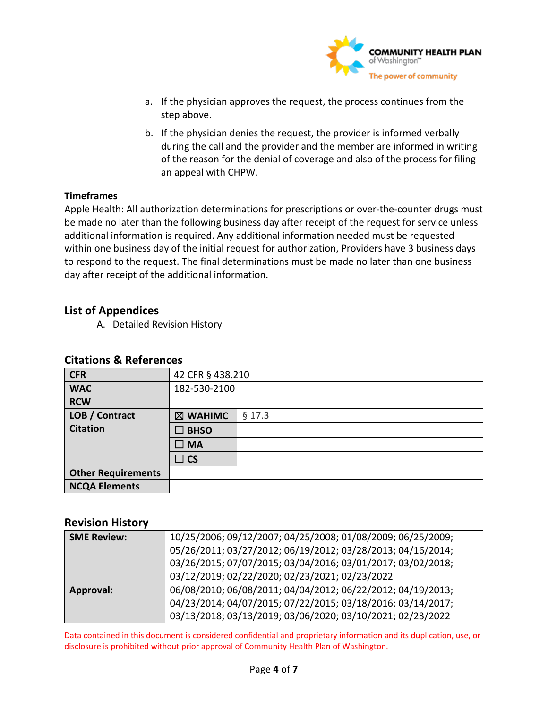

- a. If the physician approves the request, the process continues from the step above.
- b. If the physician denies the request, the provider is informed verbally during the call and the provider and the member are informed in writing of the reason for the denial of coverage and also of the process for filing an appeal with CHPW.

#### **Timeframes**

Apple Health: All authorization determinations for prescriptions or over-the-counter drugs must be made no later than the following business day after receipt of the request for service unless additional information is required. Any additional information needed must be requested within one business day of the initial request for authorization, Providers have 3 business days to respond to the request. The final determinations must be made no later than one business day after receipt of the additional information.

# **List of Appendices**

A. Detailed Revision History

### **Citations & References**

| <b>CFR</b>                | 42 CFR § 438.210   |        |  |  |
|---------------------------|--------------------|--------|--|--|
| <b>WAC</b>                | 182-530-2100       |        |  |  |
| <b>RCW</b>                |                    |        |  |  |
| LOB / Contract            | $\boxtimes$ WAHIMC | § 17.3 |  |  |
| <b>Citation</b>           | $\Box$ BHSO        |        |  |  |
|                           | $\square$ MA       |        |  |  |
|                           | $\Box$ CS          |        |  |  |
| <b>Other Requirements</b> |                    |        |  |  |
| <b>NCQA Elements</b>      |                    |        |  |  |

# **Revision History**

| <b>SME Review:</b> | 10/25/2006; 09/12/2007; 04/25/2008; 01/08/2009; 06/25/2009; |
|--------------------|-------------------------------------------------------------|
|                    | 05/26/2011; 03/27/2012; 06/19/2012; 03/28/2013; 04/16/2014; |
|                    | 03/26/2015; 07/07/2015; 03/04/2016; 03/01/2017; 03/02/2018; |
|                    | 03/12/2019; 02/22/2020; 02/23/2021; 02/23/2022              |
| Approval:          | 06/08/2010; 06/08/2011; 04/04/2012; 06/22/2012; 04/19/2013; |
|                    | 04/23/2014; 04/07/2015; 07/22/2015; 03/18/2016; 03/14/2017; |
|                    | 03/13/2018; 03/13/2019; 03/06/2020; 03/10/2021; 02/23/2022  |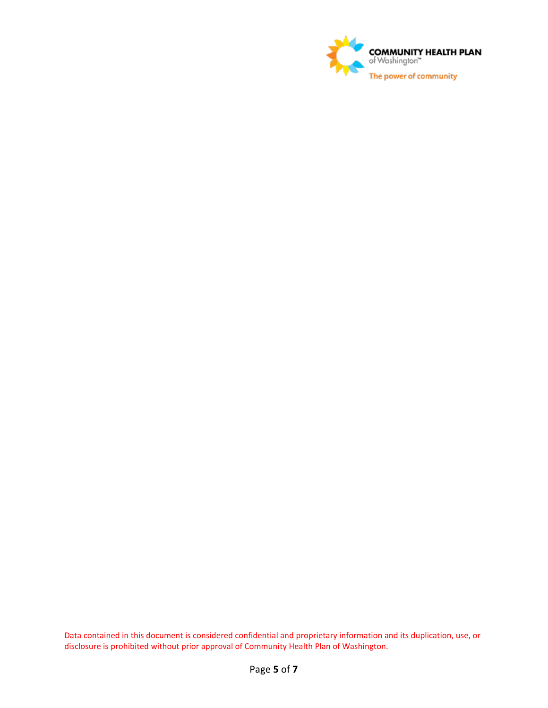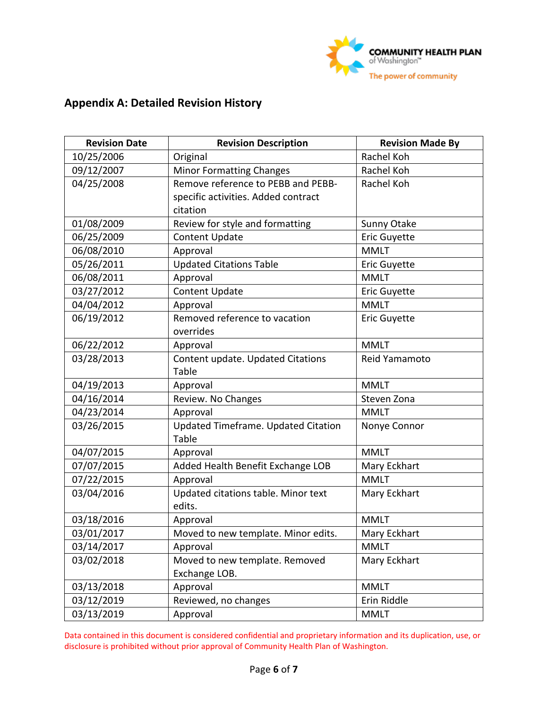

# **Appendix A: Detailed Revision History**

| <b>Revision Date</b> | <b>Revision Description</b>         | <b>Revision Made By</b> |
|----------------------|-------------------------------------|-------------------------|
| 10/25/2006           | Original                            | Rachel Koh              |
| 09/12/2007           | <b>Minor Formatting Changes</b>     | Rachel Koh              |
| 04/25/2008           | Remove reference to PEBB and PEBB-  | Rachel Koh              |
|                      | specific activities. Added contract |                         |
|                      | citation                            |                         |
| 01/08/2009           | Review for style and formatting     | Sunny Otake             |
| 06/25/2009           | <b>Content Update</b>               | Eric Guyette            |
| 06/08/2010           | Approval                            | <b>MMLT</b>             |
| 05/26/2011           | <b>Updated Citations Table</b>      | <b>Eric Guyette</b>     |
| 06/08/2011           | Approval                            | <b>MMLT</b>             |
| 03/27/2012           | <b>Content Update</b>               | <b>Eric Guyette</b>     |
| 04/04/2012           | Approval                            | <b>MMLT</b>             |
| 06/19/2012           | Removed reference to vacation       | <b>Eric Guyette</b>     |
|                      | overrides                           |                         |
| 06/22/2012           | Approval                            | <b>MMLT</b>             |
| 03/28/2013           | Content update. Updated Citations   | Reid Yamamoto           |
|                      | Table                               |                         |
| 04/19/2013           | Approval                            | <b>MMLT</b>             |
| 04/16/2014           | Review. No Changes                  | Steven Zona             |
| 04/23/2014           | Approval                            | <b>MMLT</b>             |
| 03/26/2015           | Updated Timeframe. Updated Citation | Nonye Connor            |
|                      | Table                               |                         |
| 04/07/2015           | Approval                            | <b>MMLT</b>             |
| 07/07/2015           | Added Health Benefit Exchange LOB   | Mary Eckhart            |
| 07/22/2015           | Approval                            | <b>MMLT</b>             |
| 03/04/2016           | Updated citations table. Minor text | Mary Eckhart            |
|                      | edits.                              |                         |
| 03/18/2016           | Approval                            | <b>MMLT</b>             |
| 03/01/2017           | Moved to new template. Minor edits. | Mary Eckhart            |
| 03/14/2017           | Approval                            | <b>MMLT</b>             |
| 03/02/2018           | Moved to new template. Removed      | Mary Eckhart            |
|                      | Exchange LOB.                       |                         |
| 03/13/2018           | Approval                            | <b>MMLT</b>             |
| 03/12/2019           | Reviewed, no changes                | Erin Riddle             |
| 03/13/2019           | Approval                            | <b>MMLT</b>             |